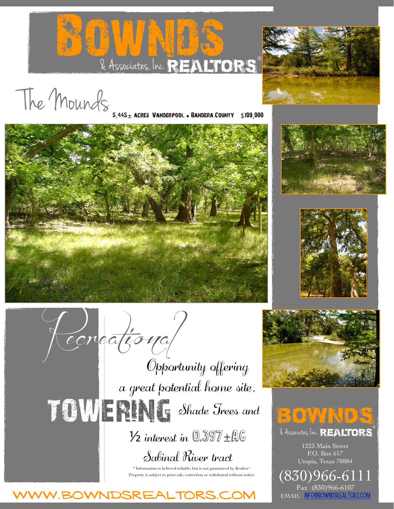



The Mounds

BANDERA COUNTY \$109,000







*Recreational*

a great potential home site, Opportunity offering **TOWERING** Shade Trees and  $\frac{1}{2}$  interest in  $0.397 \pm 0.06$ Sabinal River tract

> \* Information is believed reliable, but is not guaranteed by Realtor®. Property is subject to prior sale, correction or withdrawal without notice.





## **BOWNDS**

 $\lambda$  Associates, Inc. REALTORS

1223 Main Street P.O. Box 617 Utopia, Texas 78884

(830)96 Fax (830)966-6107 EMAIL [INFO@BOWNDSREALTORS.COM](mailto:INFO@BOWNDSREALTORS.COM)